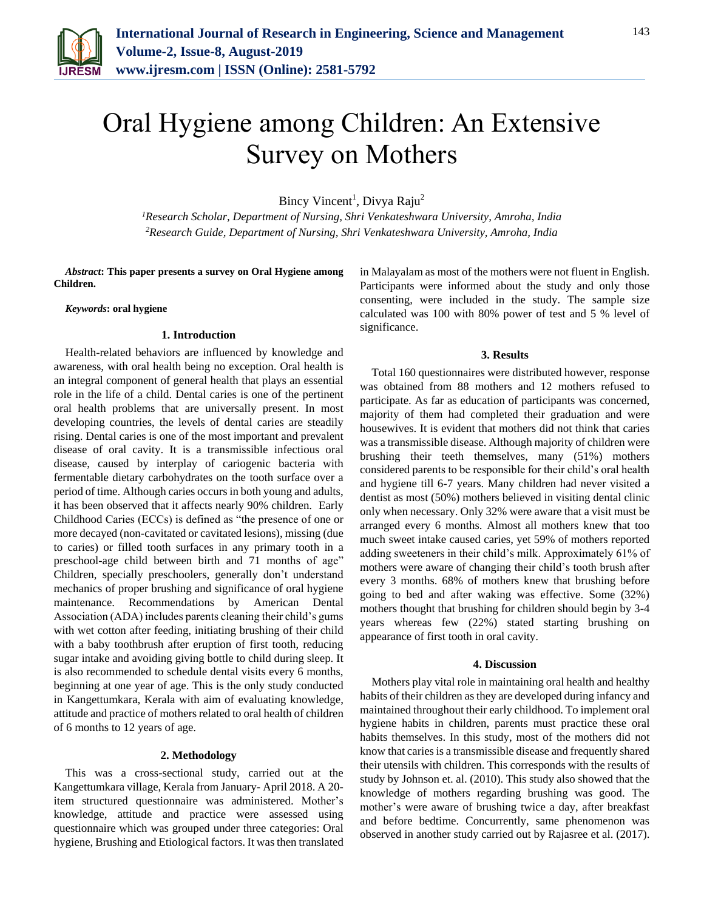

143

# Oral Hygiene among Children: An Extensive Survey on Mothers

Bincy Vincent<sup>1</sup>, Divya Raju<sup>2</sup>

*<sup>1</sup>Research Scholar, Department of Nursing, Shri Venkateshwara University, Amroha, India 2Research Guide, Department of Nursing, Shri Venkateshwara University, Amroha, India*

*Abstract***: This paper presents a survey on Oral Hygiene among Children.**

#### *Keywords***: oral hygiene**

# **1. Introduction**

Health-related behaviors are influenced by knowledge and awareness, with oral health being no exception. Oral health is an integral component of general health that plays an essential role in the life of a child. Dental caries is one of the pertinent oral health problems that are universally present. In most developing countries, the levels of dental caries are steadily rising. Dental caries is one of the most important and prevalent disease of oral cavity. It is a transmissible infectious oral disease, caused by interplay of cariogenic bacteria with fermentable dietary carbohydrates on the tooth surface over a period of time. Although caries occurs in both young and adults, it has been observed that it affects nearly 90% children. Early Childhood Caries (ECCs) is defined as "the presence of one or more decayed (non-cavitated or cavitated lesions), missing (due to caries) or filled tooth surfaces in any primary tooth in a preschool-age child between birth and 71 months of age" Children, specially preschoolers, generally don't understand mechanics of proper brushing and significance of oral hygiene maintenance. Recommendations by American Dental Association (ADA) includes parents cleaning their child's gums with wet cotton after feeding, initiating brushing of their child with a baby toothbrush after eruption of first tooth, reducing sugar intake and avoiding giving bottle to child during sleep. It is also recommended to schedule dental visits every 6 months, beginning at one year of age. This is the only study conducted in Kangettumkara, Kerala with aim of evaluating knowledge, attitude and practice of mothers related to oral health of children of 6 months to 12 years of age.

## **2. Methodology**

This was a cross-sectional study, carried out at the Kangettumkara village, Kerala from January- April 2018. A 20 item structured questionnaire was administered. Mother's knowledge, attitude and practice were assessed using questionnaire which was grouped under three categories: Oral hygiene, Brushing and Etiological factors. It was then translated

in Malayalam as most of the mothers were not fluent in English. Participants were informed about the study and only those consenting, were included in the study. The sample size calculated was 100 with 80% power of test and 5 % level of significance.

#### **3. Results**

Total 160 questionnaires were distributed however, response was obtained from 88 mothers and 12 mothers refused to participate. As far as education of participants was concerned, majority of them had completed their graduation and were housewives. It is evident that mothers did not think that caries was a transmissible disease. Although majority of children were brushing their teeth themselves, many (51%) mothers considered parents to be responsible for their child's oral health and hygiene till 6-7 years. Many children had never visited a dentist as most (50%) mothers believed in visiting dental clinic only when necessary. Only 32% were aware that a visit must be arranged every 6 months. Almost all mothers knew that too much sweet intake caused caries, yet 59% of mothers reported adding sweeteners in their child's milk. Approximately 61% of mothers were aware of changing their child's tooth brush after every 3 months. 68% of mothers knew that brushing before going to bed and after waking was effective. Some (32%) mothers thought that brushing for children should begin by 3-4 years whereas few (22%) stated starting brushing on appearance of first tooth in oral cavity.

## **4. Discussion**

Mothers play vital role in maintaining oral health and healthy habits of their children as they are developed during infancy and maintained throughout their early childhood. To implement oral hygiene habits in children, parents must practice these oral habits themselves. In this study, most of the mothers did not know that caries is a transmissible disease and frequently shared their utensils with children. This corresponds with the results of study by Johnson et. al. (2010). This study also showed that the knowledge of mothers regarding brushing was good. The mother's were aware of brushing twice a day, after breakfast and before bedtime. Concurrently, same phenomenon was observed in another study carried out by Rajasree et al. (2017).